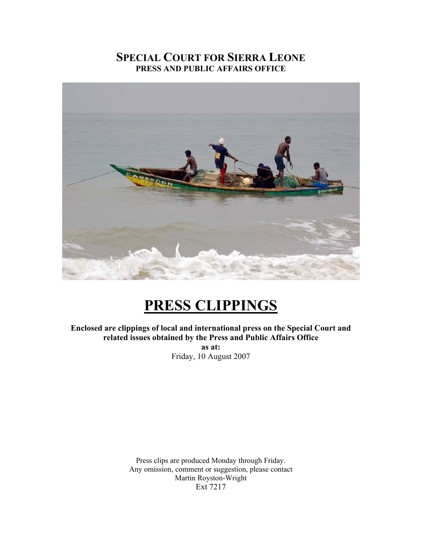## **SPECIAL COURT FOR SIERRA LEONE PRESS AND PUBLIC AFFAIRS OFFICE**



## **PRESS CLIPPINGS**

**Enclosed are clippings of local and international press on the Special Court and related issues obtained by the Press and Public Affairs Office** 

> **as at:**  Friday, 10 August 2007

Press clips are produced Monday through Friday. Any omission, comment or suggestion, please contact Martin Royston-Wright Ext 7217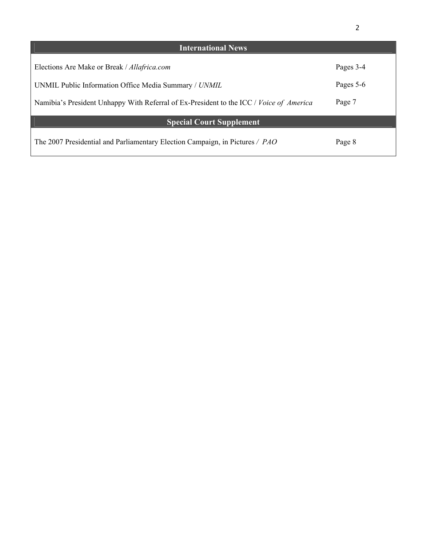| <b>International News</b>                                                               |           |
|-----------------------------------------------------------------------------------------|-----------|
| Elections Are Make or Break / Allafrica.com                                             | Pages 3-4 |
| UNMIL Public Information Office Media Summary / UNMIL                                   | Pages 5-6 |
| Namibia's President Unhappy With Referral of Ex-President to the ICC / Voice of America | Page 7    |
| <b>Special Court Supplement</b>                                                         |           |
| The 2007 Presidential and Parliamentary Election Campaign, in Pictures / PAO            | Page 8    |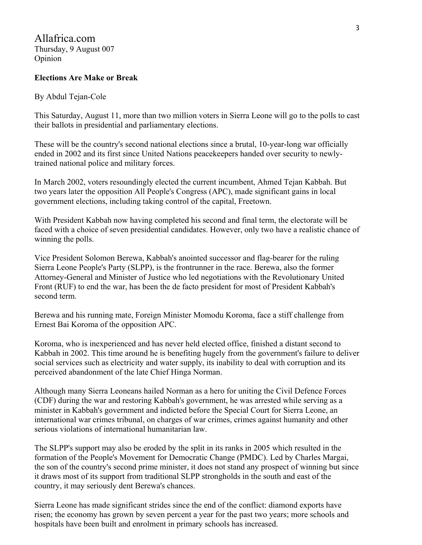## **Elections Are Make or Break**

## By Abdul Tejan-Cole

This Saturday, August 11, more than two million voters in Sierra Leone will go to the polls to cast their ballots in presidential and parliamentary elections.

These will be the country's second national elections since a brutal, 10-year-long war officially ended in 2002 and its first since United Nations peacekeepers handed over security to newlytrained national police and military forces.

In March 2002, voters resoundingly elected the current incumbent, Ahmed Tejan Kabbah. But two years later the opposition All People's Congress (APC), made significant gains in local government elections, including taking control of the capital, Freetown.

With President Kabbah now having completed his second and final term, the electorate will be faced with a choice of seven presidential candidates. However, only two have a realistic chance of winning the polls.

Vice President Solomon Berewa, Kabbah's anointed successor and flag-bearer for the ruling Sierra Leone People's Party (SLPP), is the frontrunner in the race. Berewa, also the former Attorney-General and Minister of Justice who led negotiations with the Revolutionary United Front (RUF) to end the war, has been the de facto president for most of President Kabbah's second term.

Berewa and his running mate, Foreign Minister Momodu Koroma, face a stiff challenge from Ernest Bai Koroma of the opposition APC.

Koroma, who is inexperienced and has never held elected office, finished a distant second to Kabbah in 2002. This time around he is benefiting hugely from the government's failure to deliver social services such as electricity and water supply, its inability to deal with corruption and its perceived abandonment of the late Chief Hinga Norman.

Although many Sierra Leoneans hailed Norman as a hero for uniting the Civil Defence Forces (CDF) during the war and restoring Kabbah's government, he was arrested while serving as a minister in Kabbah's government and indicted before the Special Court for Sierra Leone, an international war crimes tribunal, on charges of war crimes, crimes against humanity and other serious violations of international humanitarian law.

The SLPP's support may also be eroded by the split in its ranks in 2005 which resulted in the formation of the People's Movement for Democratic Change (PMDC). Led by Charles Margai, the son of the country's second prime minister, it does not stand any prospect of winning but since it draws most of its support from traditional SLPP strongholds in the south and east of the country, it may seriously dent Berewa's chances.

Sierra Leone has made significant strides since the end of the conflict: diamond exports have risen; the economy has grown by seven percent a year for the past two years; more schools and hospitals have been built and enrolment in primary schools has increased.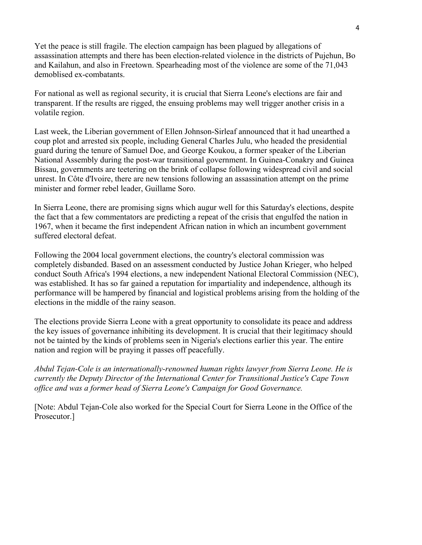Yet the peace is still fragile. The election campaign has been plagued by allegations of assassination attempts and there has been election-related violence in the districts of Pujehun, Bo and Kailahun, and also in Freetown. Spearheading most of the violence are some of the 71,043 demoblised ex-combatants.

For national as well as regional security, it is crucial that Sierra Leone's elections are fair and transparent. If the results are rigged, the ensuing problems may well trigger another crisis in a volatile region.

Last week, the Liberian government of Ellen Johnson-Sirleaf announced that it had unearthed a coup plot and arrested six people, including General Charles Julu, who headed the presidential guard during the tenure of Samuel Doe, and George Koukou, a former speaker of the Liberian National Assembly during the post-war transitional government. In Guinea-Conakry and Guinea Bissau, governments are teetering on the brink of collapse following widespread civil and social unrest. In Côte d'Ivoire, there are new tensions following an assassination attempt on the prime minister and former rebel leader, Guillame Soro.

In Sierra Leone, there are promising signs which augur well for this Saturday's elections, despite the fact that a few commentators are predicting a repeat of the crisis that engulfed the nation in 1967, when it became the first independent African nation in which an incumbent government suffered electoral defeat.

Following the 2004 local government elections, the country's electoral commission was completely disbanded. Based on an assessment conducted by Justice Johan Krieger, who helped conduct South Africa's 1994 elections, a new independent National Electoral Commission (NEC), was established. It has so far gained a reputation for impartiality and independence, although its performance will be hampered by financial and logistical problems arising from the holding of the elections in the middle of the rainy season.

The elections provide Sierra Leone with a great opportunity to consolidate its peace and address the key issues of governance inhibiting its development. It is crucial that their legitimacy should not be tainted by the kinds of problems seen in Nigeria's elections earlier this year. The entire nation and region will be praying it passes off peacefully.

*Abdul Tejan-Cole is an internationally-renowned human rights lawyer from Sierra Leone. He is currently the Deputy Director of the International Center for Transitional Justice's Cape Town office and was a former head of Sierra Leone's Campaign for Good Governance.* 

[Note: Abdul Tejan-Cole also worked for the Special Court for Sierra Leone in the Office of the Prosecutor.]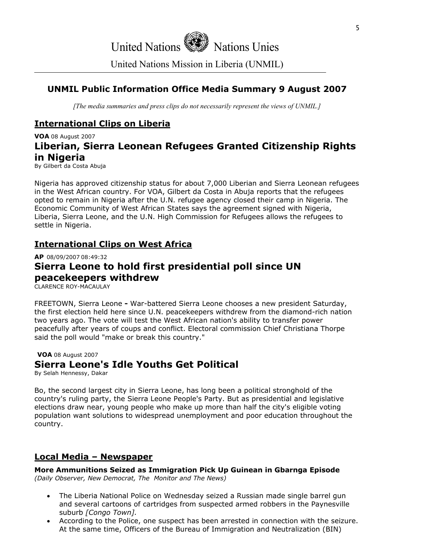# United Nations  $\mathbb{R}$  Nations Unies

United Nations Mission in Liberia (UNMIL)

## **UNMIL Public Information Office Media Summary 9 August 2007**

*[The media summaries and press clips do not necessarily represent the views of UNMIL.]*

## **International Clips on Liberia**

**VOA** 08 August 2007 **Liberian, Sierra Leonean Refugees Granted Citizenship Rights in Nigeria** By Gilbert da Costa Abuja

Nigeria has approved citizenship status for about 7,000 Liberian and Sierra Leonean refugees in the West African country. For VOA, Gilbert da Costa in Abuja reports that the refugees opted to remain in Nigeria after the U.N. refugee agency closed their camp in Nigeria. The Economic Community of West African States says the agreement signed with Nigeria, Liberia, Sierra Leone, and the U.N. High Commission for Refugees allows the refugees to settle in Nigeria.

## **International Clips on West Africa**

**AP** 08/09/2007 08:49:32

## **Sierra Leone to hold first presidential poll since UN peacekeepers withdrew**

CLARENCE ROY-MACAULAY

FREETOWN, Sierra Leone **-** War-battered Sierra Leone chooses a new president Saturday, the first election held here since U.N. peacekeepers withdrew from the diamond-rich nation two years ago. The vote will test the West African nation's ability to transfer power peacefully after years of coups and conflict. Electoral commission Chief Christiana Thorpe said the poll would "make or break this country."

**VOA** 08 August 2007 **Sierra Leone's Idle Youths Get Political**

By Selah Hennessy, Dakar

Bo, the second largest city in Sierra Leone, has long been a political stronghold of the country's ruling party, the Sierra Leone People's Party. But as presidential and legislative elections draw near, young people who make up more than half the city's eligible voting population want solutions to widespread unemployment and poor education throughout the country.

## **Local Media – Newspaper**

**More Ammunitions Seized as Immigration Pick Up Guinean in Gbarnga Episode** *(Daily Observer, New Democrat, The Monitor and The News)* 

- The Liberia National Police on Wednesday seized a Russian made single barrel gun and several cartoons of cartridges from suspected armed robbers in the Paynesville suburb *[Congo Town].*
- According to the Police, one suspect has been arrested in connection with the seizure. At the same time, Officers of the Bureau of Immigration and Neutralization (BIN)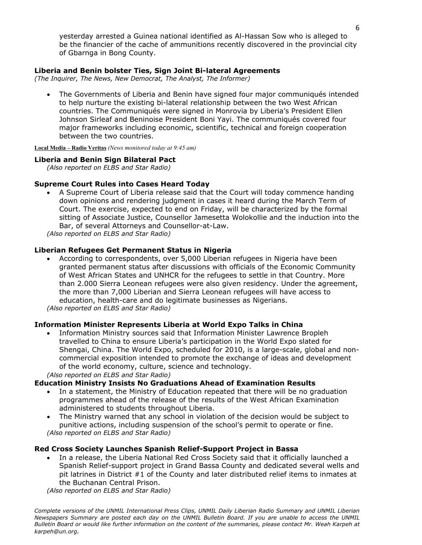yesterday arrested a Guinea national identified as Al-Hassan Sow who is alleged to be the financier of the cache of ammunitions recently discovered in the provincial city of Gbarnga in Bong County.

### **Liberia and Benin bolster Ties, Sign Joint Bi-lateral Agreements**

*(The Inquirer, The News, New Democrat, The Analyst, The Informer)* 

• The Governments of Liberia and Benin have signed four major communiqués intended to help nurture the existing bi-lateral relationship between the two West African countries. The Communiqués were signed in Monrovia by Liberia's President Ellen Johnson Sirleaf and Beninoise President Boni Yayi. The communiqués covered four major frameworks including economic, scientific, technical and foreign cooperation between the two countries.

**Local Media – Radio Veritas** *(News monitored today at 9:45 am)* 

#### **Liberia and Benin Sign Bilateral Pact**

*(Also reported on ELBS and Star Radio)* 

### **Supreme Court Rules into Cases Heard Today**

• A Supreme Court of Liberia release said that the Court will today commence handing down opinions and rendering judgment in cases it heard during the March Term of Court. The exercise, expected to end on Friday, will be characterized by the formal sitting of Associate Justice, Counsellor Jamesetta Wolokollie and the induction into the Bar, of several Attorneys and Counsellor-at-Law.

*(Also reported on ELBS and Star Radio)*

### **Liberian Refugees Get Permanent Status in Nigeria**

• According to correspondents, over 5,000 Liberian refugees in Nigeria have been granted permanent status after discussions with officials of the Economic Community of West African States and UNHCR for the refugees to settle in that Country. More than 2.000 Sierra Leonean refugees were also given residency. Under the agreement, the more than 7,000 Liberian and Sierra Leonean refugees will have access to education, health-care and do legitimate businesses as Nigerians. *(Also reported on ELBS and Star Radio)*

#### **Information Minister Represents Liberia at World Expo Talks in China**

• Information Ministry sources said that Information Minister Lawrence Bropleh travelled to China to ensure Liberia's participation in the World Expo slated for Shengai, China. The World Expo, scheduled for 2010, is a large-scale, global and noncommercial exposition intended to promote the exchange of ideas and development of the world economy, culture, science and technology.

*(Also reported on ELBS and Star Radio)*

#### **Education Ministry Insists No Graduations Ahead of Examination Results**

- In a statement, the Ministry of Education repeated that there will be no graduation programmes ahead of the release of the results of the West African Examination administered to students throughout Liberia.
- The Ministry warned that any school in violation of the decision would be subject to punitive actions, including suspension of the school's permit to operate or fine. *(Also reported on ELBS and Star Radio)*

#### **Red Cross Society Launches Spanish Relief-Support Project in Bassa**

• In a release, the Liberia National Red Cross Society said that it officially launched a Spanish Relief-support project in Grand Bassa County and dedicated several wells and pit latrines in District #1 of the County and later distributed relief items to inmates at the Buchanan Central Prison.

*(Also reported on ELBS and Star Radio)*

*Complete versions of the UNMIL International Press Clips, UNMIL Daily Liberian Radio Summary and UNMIL Liberian Newspapers Summary are posted each day on the UNMIL Bulletin Board. If you are unable to access the UNMIL Bulletin Board or would like further information on the content of the summaries, please contact Mr. Weah Karpeh at karpeh@un.org.*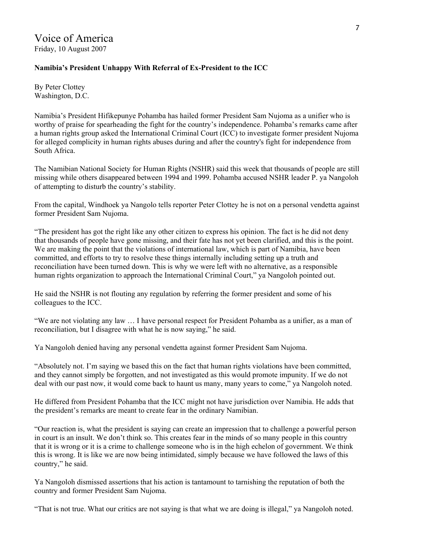## **Namibia's President Unhappy With Referral of Ex-President to the ICC**

By Peter Clottey Washington, D.C.

Namibia's President Hifikepunye Pohamba has hailed former President Sam Nujoma as a unifier who is worthy of praise for spearheading the fight for the country's independence. Pohamba's remarks came after a human rights group asked the International Criminal Court (ICC) to investigate former president Nujoma for alleged complicity in human rights abuses during and after the country's fight for independence from South Africa.

The Namibian National Society for Human Rights (NSHR) said this week that thousands of people are still missing while others disappeared between 1994 and 1999. Pohamba accused NSHR leader P. ya Nangoloh of attempting to disturb the country's stability.

From the capital, Windhoek ya Nangolo tells reporter Peter Clottey he is not on a personal vendetta against former President Sam Nujoma.

"The president has got the right like any other citizen to express his opinion. The fact is he did not deny that thousands of people have gone missing, and their fate has not yet been clarified, and this is the point. We are making the point that the violations of international law, which is part of Namibia, have been committed, and efforts to try to resolve these things internally including setting up a truth and reconciliation have been turned down. This is why we were left with no alternative, as a responsible human rights organization to approach the International Criminal Court," ya Nangoloh pointed out.

He said the NSHR is not flouting any regulation by referring the former president and some of his colleagues to the ICC.

"We are not violating any law … I have personal respect for President Pohamba as a unifier, as a man of reconciliation, but I disagree with what he is now saying," he said.

Ya Nangoloh denied having any personal vendetta against former President Sam Nujoma.

"Absolutely not. I'm saying we based this on the fact that human rights violations have been committed, and they cannot simply be forgotten, and not investigated as this would promote impunity. If we do not deal with our past now, it would come back to haunt us many, many years to come," ya Nangoloh noted.

He differed from President Pohamba that the ICC might not have jurisdiction over Namibia. He adds that the president's remarks are meant to create fear in the ordinary Namibian.

"Our reaction is, what the president is saying can create an impression that to challenge a powerful person in court is an insult. We don't think so. This creates fear in the minds of so many people in this country that it is wrong or it is a crime to challenge someone who is in the high echelon of government. We think this is wrong. It is like we are now being intimidated, simply because we have followed the laws of this country," he said.

Ya Nangoloh dismissed assertions that his action is tantamount to tarnishing the reputation of both the country and former President Sam Nujoma.

"That is not true. What our critics are not saying is that what we are doing is illegal," ya Nangoloh noted.